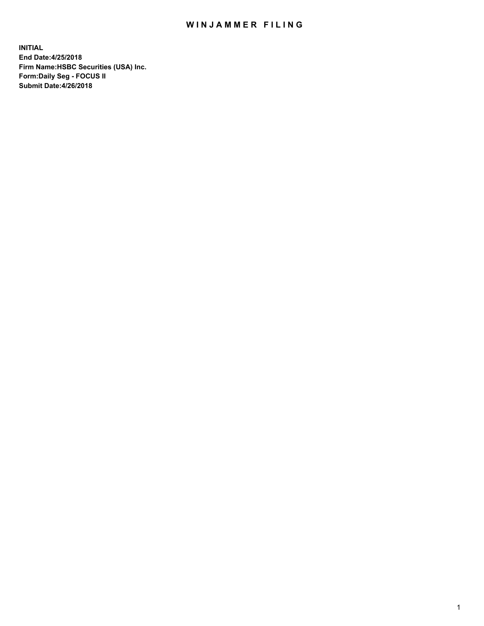## WIN JAMMER FILING

**INITIAL End Date:4/25/2018 Firm Name:HSBC Securities (USA) Inc. Form:Daily Seg - FOCUS II Submit Date:4/26/2018**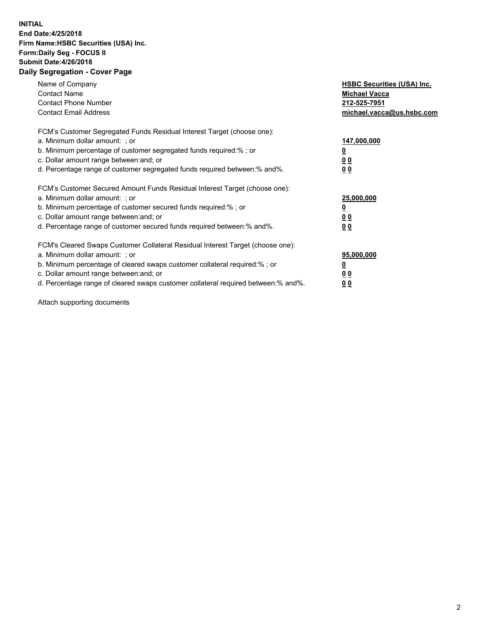## **INITIAL End Date:4/25/2018 Firm Name:HSBC Securities (USA) Inc. Form:Daily Seg - FOCUS II Submit Date:4/26/2018 Daily Segregation - Cover Page**

| Name of Company<br><b>Contact Name</b><br><b>Contact Phone Number</b><br><b>Contact Email Address</b>                                                                                                                                                                                                                         | <b>HSBC Securities (USA) Inc.</b><br><b>Michael Vacca</b><br>212-525-7951<br>michael.vacca@us.hsbc.com |
|-------------------------------------------------------------------------------------------------------------------------------------------------------------------------------------------------------------------------------------------------------------------------------------------------------------------------------|--------------------------------------------------------------------------------------------------------|
| FCM's Customer Segregated Funds Residual Interest Target (choose one):<br>a. Minimum dollar amount: ; or<br>b. Minimum percentage of customer segregated funds required:%; or<br>c. Dollar amount range between: and; or<br>d. Percentage range of customer segregated funds required between: % and %.                       | 147,000,000<br><u>0</u><br><u>00</u><br>00                                                             |
| FCM's Customer Secured Amount Funds Residual Interest Target (choose one):<br>a. Minimum dollar amount: ; or<br>b. Minimum percentage of customer secured funds required:%; or<br>c. Dollar amount range between: and; or<br>d. Percentage range of customer secured funds required between: % and %.                         | 25,000,000<br><u>0</u><br><u>00</u><br>00                                                              |
| FCM's Cleared Swaps Customer Collateral Residual Interest Target (choose one):<br>a. Minimum dollar amount: ; or<br>b. Minimum percentage of cleared swaps customer collateral required:%; or<br>c. Dollar amount range between: and; or<br>d. Percentage range of cleared swaps customer collateral required between:% and%. | 95,000,000<br><u>0</u><br><u>00</u><br><u>00</u>                                                       |

Attach supporting documents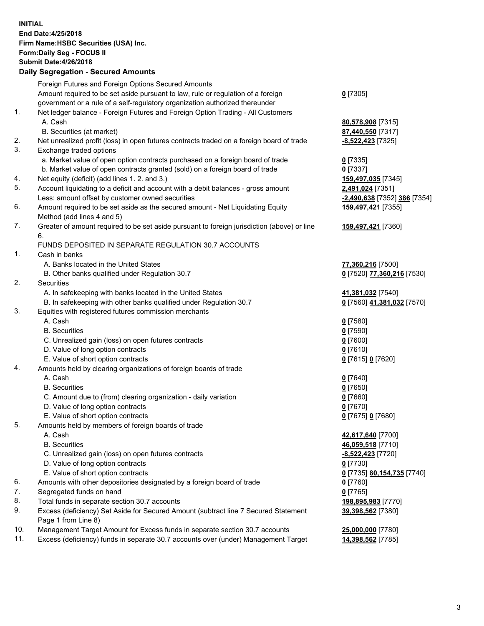**INITIAL End Date:4/25/2018 Firm Name:HSBC Securities (USA) Inc. Form:Daily Seg - FOCUS II Submit Date:4/26/2018 Daily Segregation - Secured Amounts** Foreign Futures and Foreign Options Secured Amounts Amount required to be set aside pursuant to law, rule or regulation of a foreign government or a rule of a self-regulatory organization authorized thereunder **0** [7305] 1. Net ledger balance - Foreign Futures and Foreign Option Trading - All Customers A. Cash **80,578,908** [7315] B. Securities (at market) **87,440,550** [7317] 2. Net unrealized profit (loss) in open futures contracts traded on a foreign board of trade **-8,522,423** [7325] 3. Exchange traded options a. Market value of open option contracts purchased on a foreign board of trade **0** [7335] b. Market value of open contracts granted (sold) on a foreign board of trade **0** [7337] 4. Net equity (deficit) (add lines 1. 2. and 3.) **159,497,035** [7345] 5. Account liquidating to a deficit and account with a debit balances - gross amount **2,491,024** [7351] Less: amount offset by customer owned securities **-2,490,638** [7352] **386** [7354] 6. Amount required to be set aside as the secured amount - Net Liquidating Equity Method (add lines 4 and 5) 7. Greater of amount required to be set aside pursuant to foreign jurisdiction (above) or line 6. FUNDS DEPOSITED IN SEPARATE REGULATION 30.7 ACCOUNTS 1. Cash in banks A. Banks located in the United States **77,360,216** [7500] B. Other banks qualified under Regulation 30.7 **0** [7520] **77,360,216** [7530] 2. Securities A. In safekeeping with banks located in the United States **41,381,032** [7540] B. In safekeeping with other banks qualified under Regulation 30.7 **0** [7560] **41,381,032** [7570] 3. Equities with registered futures commission merchants A. Cash **0** [7580] B. Securities **0** [7590] C. Unrealized gain (loss) on open futures contracts **0** [7600] D. Value of long option contracts **0** [7610] E. Value of short option contracts **0** [7615] **0** [7620] 4. Amounts held by clearing organizations of foreign boards of trade A. Cash **0** [7640] B. Securities **0** [7650]

- C. Amount due to (from) clearing organization daily variation **0** [7660]
- D. Value of long option contracts **0** [7670]
- E. Value of short option contracts **0** [7675] **0** [7680]
- 5. Amounts held by members of foreign boards of trade
	-
	-
	- C. Unrealized gain (loss) on open futures contracts **-8,522,423** [7720]
	- D. Value of long option contracts **0** [7730]
	- E. Value of short option contracts **0** [7735] **80,154,735** [7740]
- 6. Amounts with other depositories designated by a foreign board of trade **0** [7760]
- 7. Segregated funds on hand **0** [7765]
- 8. Total funds in separate section 30.7 accounts **198,895,983** [7770]
- 9. Excess (deficiency) Set Aside for Secured Amount (subtract line 7 Secured Statement Page 1 from Line 8)
- 10. Management Target Amount for Excess funds in separate section 30.7 accounts **25,000,000** [7780]
- 11. Excess (deficiency) funds in separate 30.7 accounts over (under) Management Target **14,398,562** [7785]

**159,497,421** [7355]

**159,497,421** [7360]

 A. Cash **42,617,640** [7700] B. Securities **46,059,518** [7710]

**39,398,562** [7380]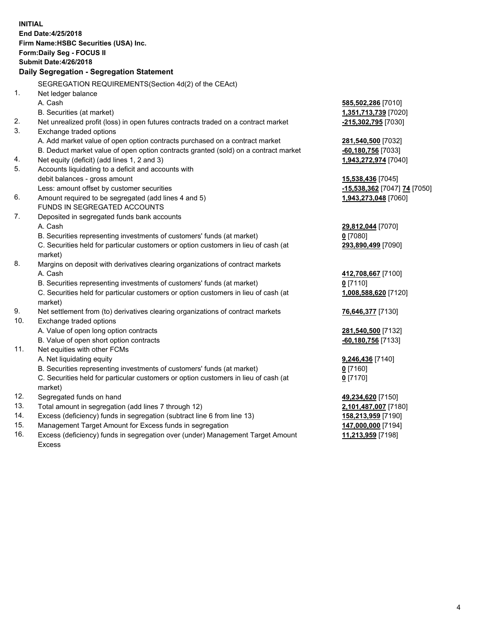**INITIAL End Date:4/25/2018 Firm Name:HSBC Securities (USA) Inc. Form:Daily Seg - FOCUS II Submit Date:4/26/2018 Daily Segregation - Segregation Statement** SEGREGATION REQUIREMENTS(Section 4d(2) of the CEAct) 1. Net ledger balance A. Cash **585,502,286** [7010] B. Securities (at market) **1,351,713,739** [7020] 2. Net unrealized profit (loss) in open futures contracts traded on a contract market **-215,302,795** [7030] 3. Exchange traded options A. Add market value of open option contracts purchased on a contract market **281,540,500** [7032] B. Deduct market value of open option contracts granted (sold) on a contract market **-60,180,756** [7033] 4. Net equity (deficit) (add lines 1, 2 and 3) **1,943,272,974** [7040] 5. Accounts liquidating to a deficit and accounts with debit balances - gross amount **15,538,436** [7045] Less: amount offset by customer securities **-15,538,362** [7047] **74** [7050] 6. Amount required to be segregated (add lines 4 and 5) **1,943,273,048** [7060] FUNDS IN SEGREGATED ACCOUNTS 7. Deposited in segregated funds bank accounts A. Cash **29,812,044** [7070] B. Securities representing investments of customers' funds (at market) **0** [7080] C. Securities held for particular customers or option customers in lieu of cash (at market) **293,890,499** [7090] 8. Margins on deposit with derivatives clearing organizations of contract markets A. Cash **412,708,667** [7100] B. Securities representing investments of customers' funds (at market) **0** [7110] C. Securities held for particular customers or option customers in lieu of cash (at market) **1,008,588,620** [7120] 9. Net settlement from (to) derivatives clearing organizations of contract markets **76,646,377** [7130] 10. Exchange traded options A. Value of open long option contracts **281,540,500** [7132] B. Value of open short option contracts **-60,180,756** [7133] 11. Net equities with other FCMs A. Net liquidating equity **9,246,436** [7140] B. Securities representing investments of customers' funds (at market) **0** [7160] C. Securities held for particular customers or option customers in lieu of cash (at market) **0** [7170] 12. Segregated funds on hand **49,234,620** [7150] 13. Total amount in segregation (add lines 7 through 12) **2,101,487,007** [7180] 14. Excess (deficiency) funds in segregation (subtract line 6 from line 13) **158,213,959** [7190] 15. Management Target Amount for Excess funds in segregation **147,000,000** [7194]

16. Excess (deficiency) funds in segregation over (under) Management Target Amount Excess

**11,213,959** [7198]